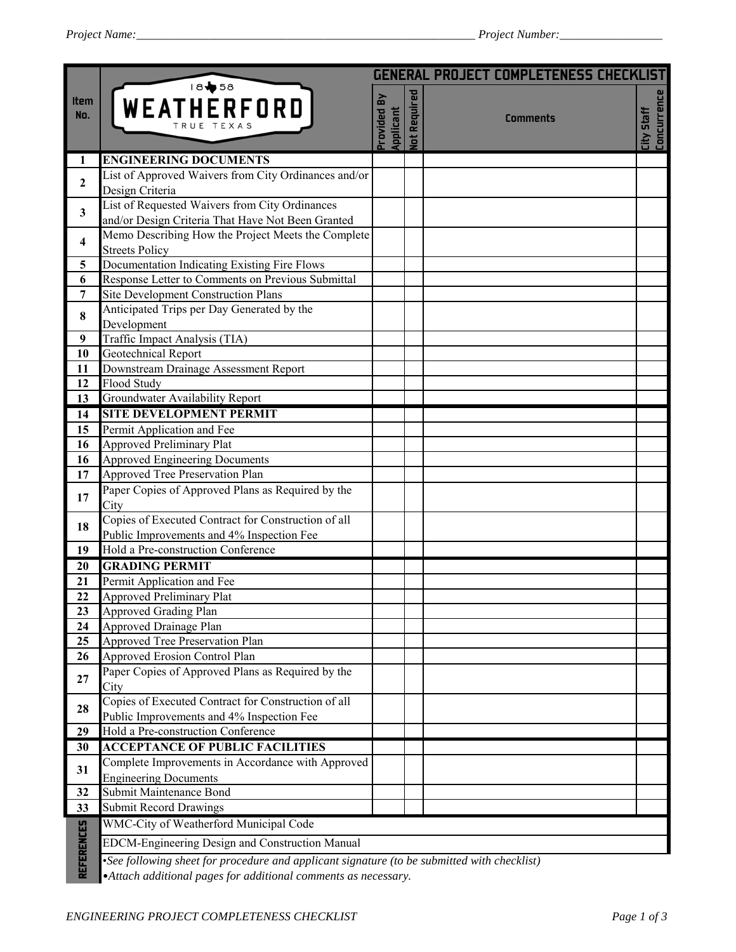|                   |                                                                                                                                                             |                            |                      | <b>GENERAL PROJECT COMPLETENESS CHECKLIST</b> |                                         |  |
|-------------------|-------------------------------------------------------------------------------------------------------------------------------------------------------------|----------------------------|----------------------|-----------------------------------------------|-----------------------------------------|--|
| Item<br>No.       | WEATHERFORD<br>TRUE TEXAS                                                                                                                                   | ΣÁ<br>rovided<br>Applicant | Required<br><u>i</u> | <b>Comments</b>                               | <b>Concurrence</b><br><b>City Staff</b> |  |
| 1                 | <b>ENGINEERING DOCUMENTS</b>                                                                                                                                |                            |                      |                                               |                                         |  |
| $\overline{2}$    | List of Approved Waivers from City Ordinances and/or                                                                                                        |                            |                      |                                               |                                         |  |
|                   | Design Criteria                                                                                                                                             |                            |                      |                                               |                                         |  |
| 3                 | List of Requested Waivers from City Ordinances                                                                                                              |                            |                      |                                               |                                         |  |
|                   | and/or Design Criteria That Have Not Been Granted<br>Memo Describing How the Project Meets the Complete                                                     |                            |                      |                                               |                                         |  |
| 4                 | <b>Streets Policy</b>                                                                                                                                       |                            |                      |                                               |                                         |  |
| 5                 | Documentation Indicating Existing Fire Flows                                                                                                                |                            |                      |                                               |                                         |  |
| 6                 | Response Letter to Comments on Previous Submittal                                                                                                           |                            |                      |                                               |                                         |  |
| 7                 | Site Development Construction Plans                                                                                                                         |                            |                      |                                               |                                         |  |
| 8                 | Anticipated Trips per Day Generated by the                                                                                                                  |                            |                      |                                               |                                         |  |
|                   | Development                                                                                                                                                 |                            |                      |                                               |                                         |  |
| $\boldsymbol{9}$  | Traffic Impact Analysis (TIA)                                                                                                                               |                            |                      |                                               |                                         |  |
| 10                | <b>Geotechnical Report</b>                                                                                                                                  |                            |                      |                                               |                                         |  |
| 11                | Downstream Drainage Assessment Report                                                                                                                       |                            |                      |                                               |                                         |  |
| 12<br>13          | Flood Study<br>Groundwater Availability Report                                                                                                              |                            |                      |                                               |                                         |  |
| 14                | <b>SITE DEVELOPMENT PERMIT</b>                                                                                                                              |                            |                      |                                               |                                         |  |
| 15                | Permit Application and Fee                                                                                                                                  |                            |                      |                                               |                                         |  |
| 16                | <b>Approved Preliminary Plat</b>                                                                                                                            |                            |                      |                                               |                                         |  |
| 16                | <b>Approved Engineering Documents</b>                                                                                                                       |                            |                      |                                               |                                         |  |
| 17                | <b>Approved Tree Preservation Plan</b>                                                                                                                      |                            |                      |                                               |                                         |  |
| 17                | Paper Copies of Approved Plans as Required by the<br>City                                                                                                   |                            |                      |                                               |                                         |  |
| 18                | Copies of Executed Contract for Construction of all<br>Public Improvements and 4% Inspection Fee                                                            |                            |                      |                                               |                                         |  |
| 19                | Hold a Pre-construction Conference                                                                                                                          |                            |                      |                                               |                                         |  |
| 20                | <b>GRADING PERMIT</b>                                                                                                                                       |                            |                      |                                               |                                         |  |
| 21                | Permit Application and Fee                                                                                                                                  |                            |                      |                                               |                                         |  |
| $\overline{22}$   | <b>Approved Preliminary Plat</b>                                                                                                                            |                            |                      |                                               |                                         |  |
| 23                | <b>Approved Grading Plan</b>                                                                                                                                |                            |                      |                                               |                                         |  |
| 24                | Approved Drainage Plan                                                                                                                                      |                            |                      |                                               |                                         |  |
| 25                | Approved Tree Preservation Plan                                                                                                                             |                            |                      |                                               |                                         |  |
| 26                | Approved Erosion Control Plan                                                                                                                               |                            |                      |                                               |                                         |  |
| 27                | Paper Copies of Approved Plans as Required by the<br>City                                                                                                   |                            |                      |                                               |                                         |  |
| 28                | Copies of Executed Contract for Construction of all                                                                                                         |                            |                      |                                               |                                         |  |
|                   | Public Improvements and 4% Inspection Fee                                                                                                                   |                            |                      |                                               |                                         |  |
| 29                | Hold a Pre-construction Conference                                                                                                                          |                            |                      |                                               |                                         |  |
| 30                | <b>ACCEPTANCE OF PUBLIC FACILITIES</b>                                                                                                                      |                            |                      |                                               |                                         |  |
| 31                | Complete Improvements in Accordance with Approved<br><b>Engineering Documents</b>                                                                           |                            |                      |                                               |                                         |  |
| 32                | Submit Maintenance Bond                                                                                                                                     |                            |                      |                                               |                                         |  |
| 33                | <b>Submit Record Drawings</b>                                                                                                                               |                            |                      |                                               |                                         |  |
|                   | WMC-City of Weatherford Municipal Code                                                                                                                      |                            |                      |                                               |                                         |  |
| <b>REFERENCES</b> | EDCM-Engineering Design and Construction Manual                                                                                                             |                            |                      |                                               |                                         |  |
|                   | •See following sheet for procedure and applicant signature (to be submitted with checklist)<br>Attach additional pages for additional comments as necessary |                            |                      |                                               |                                         |  |

•*Attach additional pages for additional comments as necessary.*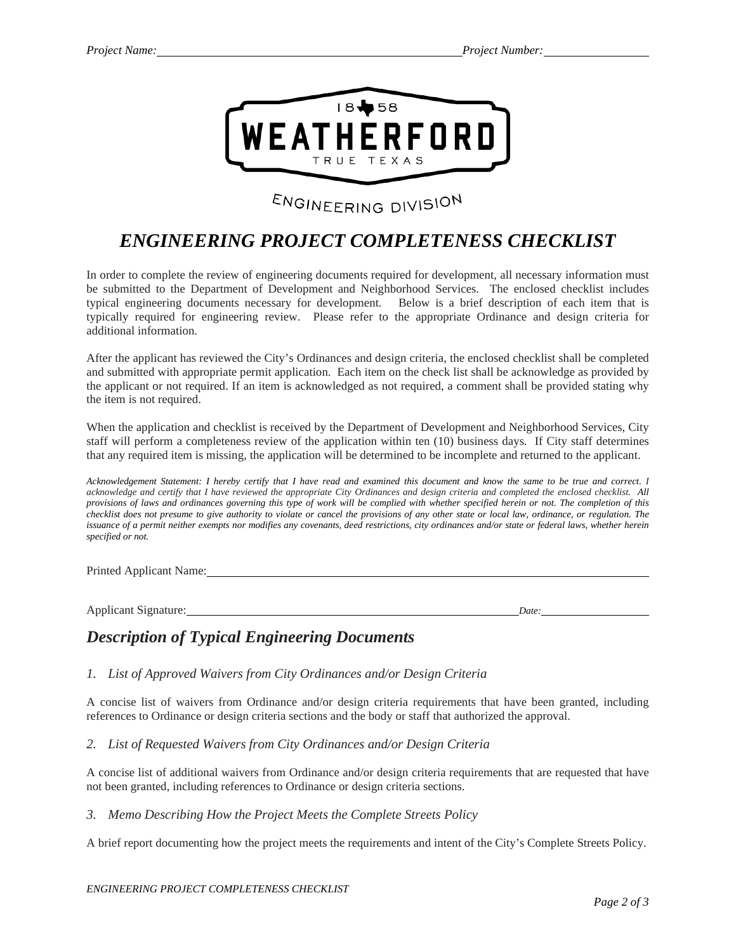

# ENGINEERING DIVISION

## *ENGINEERING PROJECT COMPLETENESS CHECKLIST*

In order to complete the review of engineering documents required for development, all necessary information must be submitted to the Department of Development and Neighborhood Services. The enclosed checklist includes typical engineering documents necessary for development. Below is a brief description of each item that is typically required for engineering review. Please refer to the appropriate Ordinance and design criteria for additional information.

After the applicant has reviewed the City's Ordinances and design criteria, the enclosed checklist shall be completed and submitted with appropriate permit application. Each item on the check list shall be acknowledge as provided by the applicant or not required. If an item is acknowledged as not required, a comment shall be provided stating why the item is not required.

When the application and checklist is received by the Department of Development and Neighborhood Services, City staff will perform a completeness review of the application within ten (10) business days. If City staff determines that any required item is missing, the application will be determined to be incomplete and returned to the applicant.

*Acknowledgement Statement: I hereby certify that I have read and examined this document and know the same to be true and correct. I acknowledge and certify that I have reviewed the appropriate City Ordinances and design criteria and completed the enclosed checklist. All provisions of laws and ordinances governing this type of work will be complied with whether specified herein or not. The completion of this checklist does not presume to give authority to violate or cancel the provisions of any other state or local law, ordinance, or regulation. The* issuance of a permit neither exempts nor modifies any covenants, deed restrictions, city ordinances and/or state or federal laws, whether herein *specified or not.*

Printed Applicant Name:

Applicant Signature: *Date:*

### *Description of Typical Engineering Documents*

#### *1. List of Approved Waivers from City Ordinances and/or Design Criteria*

A concise list of waivers from Ordinance and/or design criteria requirements that have been granted, including references to Ordinance or design criteria sections and the body or staff that authorized the approval.

*2. List of Requested Waivers from City Ordinances and/or Design Criteria*

A concise list of additional waivers from Ordinance and/or design criteria requirements that are requested that have not been granted, including references to Ordinance or design criteria sections.

*3. Memo Describing How the Project Meets the Complete Streets Policy*

A brief report documenting how the project meets the requirements and intent of the City's Complete Streets Policy.